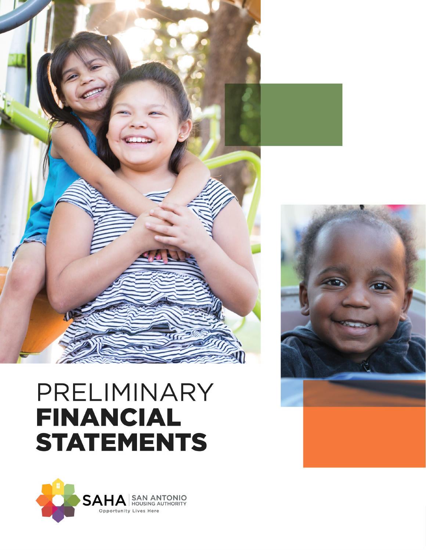

# PRELIMINARY **FINANCIAL STATEMENTS**



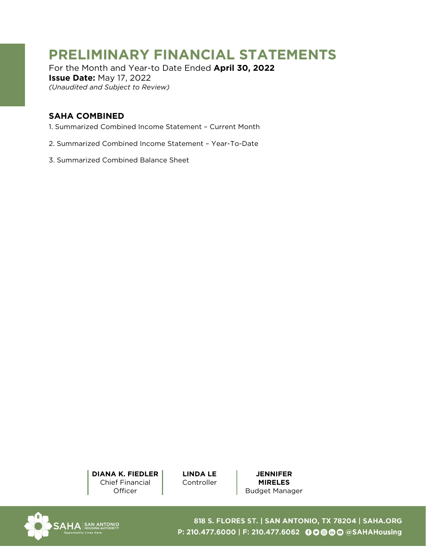# **PRELIMINARY FINANCIAL STATEMENTS**

For the Month and Year-to Date Ended **April 30, 2022 Issue Date:** May 17, 2022 *(Unaudited and Subject to Review)*

## **SAHA COMBINED**

- [1. Summarized Combined Income Statement Current Month](#page-2-0)
- [2. Summarized Combined Income Statement Year-To-Date](#page-4-0)
- [3. Summarized Combined Balance Sheet](#page-6-0)

**DIANA K. FIEDLER** Chief Financial **Officer** 

**LINDA LE Controller** 

**JENNIFER MIRELES**  Budget Manager



818 S. FLORES ST. | SAN ANTONIO, TX 78204 | SAHA.ORG P: 210.477.6000 | F: 210.477.6062 © © © © © © SAHAHousing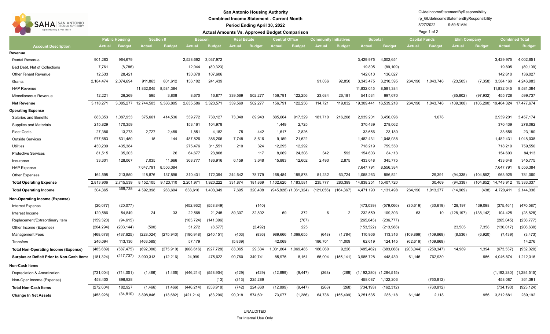<span id="page-2-0"></span>

| <b>SAN ANTONIO</b><br>SAHA<br>Opportunity Lives Here | <b>San Antonio Housing Authority</b><br><b>Combined Income Statement - Current Month</b><br>Period Ending April 30, 2022<br><b>Actual Amounts Vs. Approved Budget Comparison</b> |               |               |               |                                     |               |               |               |                       |                           |                              |               |                                 |               | GIJdeIncomeStatementByResponsibility<br>rp GlJdeIncomeStatementByResponsibility<br>5/27/2022<br>9:59:51AM<br>Page 1 of 2 |               |                     |               |                       |               |  |  |
|------------------------------------------------------|----------------------------------------------------------------------------------------------------------------------------------------------------------------------------------|---------------|---------------|---------------|-------------------------------------|---------------|---------------|---------------|-----------------------|---------------------------|------------------------------|---------------|---------------------------------|---------------|--------------------------------------------------------------------------------------------------------------------------|---------------|---------------------|---------------|-----------------------|---------------|--|--|
|                                                      | <b>Section 8</b><br><b>Public Housing</b>                                                                                                                                        |               |               |               | <b>Beacon</b><br><b>Real Estate</b> |               |               |               | <b>Central Office</b> |                           | <b>Community Initiatives</b> |               | <b>Subotal</b>                  |               | <b>Capital Funds</b>                                                                                                     |               | <b>Elim Company</b> |               | <b>Combined Total</b> |               |  |  |
| <b>Account Description</b>                           | Actual                                                                                                                                                                           | <b>Budget</b> | <b>Actual</b> | <b>Budget</b> | <b>Actual</b>                       | <b>Budget</b> | <b>Actual</b> | <b>Budget</b> | Actual                | <b>Budget</b>             | <b>Actual</b>                | <b>Budget</b> | <b>Actual</b>                   | <b>Budget</b> | <b>Actual</b>                                                                                                            | <b>Budget</b> | <b>Actual</b>       | <b>Budget</b> | <b>Actual</b>         | <b>Budget</b> |  |  |
| Revenue                                              |                                                                                                                                                                                  |               |               |               |                                     |               |               |               |                       |                           |                              |               |                                 |               |                                                                                                                          |               |                     |               |                       |               |  |  |
| <b>Rental Revenue</b>                                | 901,283                                                                                                                                                                          | 964,679       |               |               | 2,528,692                           | 3,037,972     |               |               |                       |                           |                              |               | 3,429,975                       | 4,002,651     |                                                                                                                          |               |                     |               | 3,429,975             | 4,002,651     |  |  |
| Bad Debt, Net of Collections                         | 7,761                                                                                                                                                                            | (8,786)       |               |               | 12,044                              | (80, 323)     |               |               |                       |                           |                              |               | 19,805                          | (89, 109)     |                                                                                                                          |               |                     |               | 19,805                | (89, 109)     |  |  |
| <b>Other Tenant Revenue</b>                          | 12,533                                                                                                                                                                           | 28,421        |               |               | 130,078                             | 107,606       |               |               |                       |                           |                              |               | 142,610                         | 136,027       |                                                                                                                          |               |                     |               | 142,610               | 136,027       |  |  |
| Grants                                               | 2,184,474                                                                                                                                                                        | 2,074,694     | 911,863       | 801,612       | 156,102                             | 241,439       |               |               |                       |                           | 91,036                       | 92,850        | 3,343,475                       | 3,210,595     | 264,190                                                                                                                  | 1,043,746     | (23, 505)           | (7, 358)      | 3,584,160             | 4,246,983     |  |  |
| <b>HAP Revenue</b>                                   |                                                                                                                                                                                  |               | 11,832,045    | 8,581,384     |                                     |               |               |               |                       |                           |                              |               | 11,832,045                      | 8,581,384     |                                                                                                                          |               |                     |               | 11,832,045            | 8,581,384     |  |  |
| Miscellaneous Revenue                                | 12.221                                                                                                                                                                           | 26,269        | 595           | 3,808         | 8,670                               | 16,877        | 339,569       | 502,277       | 156,791               | 122.256                   | 23,684                       | 26,181        | 541,531                         | 697,670       |                                                                                                                          |               | (85, 802)           | (97, 932)     | 455,728               | 599,737       |  |  |
| <b>Net Revenue</b>                                   | 3,118,271                                                                                                                                                                        | 3,085,277     | 12,744,503    | 9,386,805     | 2,835,586                           | 3,323,571     | 339,569       | 502,277       | 156,791               | 122,256                   | 114,721                      | 119,032       | 19,309,441                      | 16,539,218    | 264,190                                                                                                                  | 1,043,746     | (109, 308)          |               | (105,290) 19,464,324  | 17,477,674    |  |  |
| Operating Expense                                    |                                                                                                                                                                                  |               |               |               |                                     |               |               |               |                       |                           |                              |               |                                 |               |                                                                                                                          |               |                     |               |                       |               |  |  |
| <b>Salaries and Benefits</b>                         | 883,353                                                                                                                                                                          | 1,087,953     | 375,661       | 414,536       | 539,772                             | 730,127       | 73,040        | 89,943        | 885,664               | 917,329                   | 181.710                      | 216,208       | 2,939,201                       | 3,456,096     |                                                                                                                          | 1,078         |                     |               | 2,939,201             | 3,457,174     |  |  |
| <b>Supplies and Materials</b>                        | 215,829                                                                                                                                                                          | 170,359       |               |               | 153,161                             | 104,978       |               |               | 1,449                 | 2,725                     |                              |               | 370,439                         | 278,062       |                                                                                                                          |               |                     |               | 370,439               | 278,062       |  |  |
| <b>Fleet Costs</b>                                   | 27,386                                                                                                                                                                           | 13,273        | 2,727         | 2,459         | 1,851                               | 4,182         | 75            | 442           | 1,617                 | 2,826                     |                              |               | 33,656                          | 23,180        |                                                                                                                          |               |                     |               | 33,656                | 23,180        |  |  |
| <b>Outside Services</b>                              | 977,683                                                                                                                                                                          | 631,450       | 15            | 144           | 487,826                             | 386,206       | 7,748         | 8,616         | 9,159                 | 21,622                    |                              |               | 1,482,431                       | 1,048,038     |                                                                                                                          |               |                     |               | 1,482,431             | 1,048,038     |  |  |
| Utilities                                            | 430,239                                                                                                                                                                          | 435,384       |               |               | 275,476                             | 311,551       | 210           | 324           | 12,295                | 12,292                    |                              |               | 718,219                         | 759,550       |                                                                                                                          |               |                     |               | 718,219               | 759,550       |  |  |
| <b>Protective Services</b>                           | 81,515                                                                                                                                                                           | 35,203        |               | 26            | 64,677                              | 23,868        |               | 117           | 8,069                 | 24,308                    | 342                          | 592           | 154,603                         | 84,113        |                                                                                                                          |               |                     |               | 154,603               | 84,113        |  |  |
| Insurance                                            | 33,301                                                                                                                                                                           | 128,067       | 7,035         | 11,666        | 368,777                             | 186,916       | 6,159         | 3,648         | 15,883                | 12,602                    | 2,493                        | 2,875         | 433,648                         | 345,775       |                                                                                                                          |               |                     |               | 433,648               | 345,775       |  |  |
| <b>HAP Expense</b>                                   |                                                                                                                                                                                  |               | 7,647,791     | 8,556,384     |                                     |               |               |               |                       |                           |                              |               | 7,647,791                       | 8,556,384     |                                                                                                                          |               |                     |               | 7,647,791             | 8,556,384     |  |  |
| <b>Other Expenses</b>                                | 164,598                                                                                                                                                                          | 213,850       | 118,876       | 137,895       | 310,431                             | 172,394       | 244,642       | 78,779        | 168,484               | 189,878                   | 51,232                       | 63,724        | 1,058,263                       | 856,521       |                                                                                                                          | 29,391        | (94, 338)           | (104, 852)    | 963,925               | 781,060       |  |  |
| <b>Total Operating Expense</b>                       | 2,813,906                                                                                                                                                                        | 2,715,539     | 8,152,105     | 9,123,110     | 2,201,971                           | 1,920,222     | 331,874       | 181,869       | 1,102,620             | 1,183,581                 | 235,777                      | 283,399       | 14,838,251                      | 15,407,720    |                                                                                                                          | 30,469        | (94, 338)           |               | (104,852) 14,743,912  | 15,333,337    |  |  |
| <b>Total Operating Income</b>                        | 304,365                                                                                                                                                                          | 369,738       | 4,592,398     | 263,694       | 633,616                             | 1,403,349     | 7,695         | 320,408       |                       | $(945,828)$ $(1,061,324)$ | (121, 056)                   | (164, 367)    | 4,471,190                       | 1,131,498     | 264,190                                                                                                                  | 1,013,277     | (14, 969)           | (438)         | 4,720,411             | 2,144,336     |  |  |
| Non-Operating Income (Expense)                       |                                                                                                                                                                                  |               |               |               |                                     |               |               |               |                       |                           |                              |               |                                 |               |                                                                                                                          |               |                     |               |                       |               |  |  |
| <b>Interest Expense</b>                              | (20, 077)                                                                                                                                                                        | (20, 077)     |               |               | (452,962)                           | (558, 849)    |               | (140)         |                       |                           |                              |               | (473, 039)                      | (579,066)     | (30, 619)                                                                                                                | (30, 619)     | 128,197             | 139,098       | (375, 461)            | (470, 587)    |  |  |
| Interest Income                                      | 120,586                                                                                                                                                                          | 54,849        | 24            | 33            | 22,568                              | 21,245        | 89,307        | 32,802        | 69                    | 372                       | 6                            | 2             | 232,559                         | 109,303       | 63                                                                                                                       | 10            | (128, 197)          | (138,142)     | 104,425               | (28, 828)     |  |  |
| Replacement/Extraordinary Item                       | (159, 320)                                                                                                                                                                       | (94, 615)     |               |               | (105, 724)                          | (141, 396)    |               |               |                       | (767)                     |                              |               | (265, 045)                      | (236, 777)    |                                                                                                                          |               |                     |               | (265, 045)            | (236, 777)    |  |  |
| Other Income (Expense)                               | (204, 294)                                                                                                                                                                       | (203, 144)    | (500)         |               | 51,272                              | (8, 577)      |               | (2, 492)      |                       | 225                       |                              |               | (153, 522)                      | (213,988)     |                                                                                                                          |               | 23,505              | 7,358         | (130, 017)            | (206, 630)    |  |  |
| <b>Management Fees</b>                               | (468, 678)                                                                                                                                                                       | (437, 625)    | (228, 024)    | (275, 943)    | (180,948)                           | (240, 151)    | (403)         | (836)         | 989,666               | 1,069,655                 | (648)                        | (1,784)       | 110,966                         | 113,316       | (109, 869)                                                                                                               | (109,869)     | (8,536)             | (6,920)       | (7, 439)              | (3, 473)      |  |  |
| <b>Transfers</b>                                     | 246,094                                                                                                                                                                          | 113,136       | (463, 585)    |               | 57,179                              |               | (5,839)       |               | 42,069                |                           | 186,701                      | 11,009        | 62,619                          | 124,145       | (62, 619)                                                                                                                | (109, 869)    |                     |               |                       | 14,276        |  |  |
| <b>Total Non-Operating Income (Expense)</b>          | (485, 689)                                                                                                                                                                       | (587, 475)    | (692,086)     | (275, 910)    | (608, 616)                          | (927, 728)    | 83,065        | 29,334        | 1,031,804             | 1.069.485                 | 186,060                      | 9,226         | (485, 462)                      | (683,068)     | (203, 044)                                                                                                               | (250, 347)    | 14,969              | 1,394         | (673, 537)            | (932, 020)    |  |  |
| Surplus or Deficit Prior to Non-Cash Items (181,324) |                                                                                                                                                                                  | (217, 737)    | 3,900,313     | (12, 216)     | 24,999                              | 475,622       | 90,760        | 349,741       | 85,976                | 8,161                     | 65,004                       | (155, 141)    | 3,985,728                       | 448,430       | 61,146                                                                                                                   | 762,930       |                     | 956           | 4,046,874             | 1,212,316     |  |  |
| Non-Cash Items                                       |                                                                                                                                                                                  |               |               |               |                                     |               |               |               |                       |                           |                              |               |                                 |               |                                                                                                                          |               |                     |               |                       |               |  |  |
| Depreciation & Amortization                          | (731,004)                                                                                                                                                                        | (714,001)     | (1, 466)      | (1, 466)      | (446, 214)                          | (558, 904)    | (429)         | (429)         | (12, 899)             | (9, 447)                  | (268)                        | (268)         | $(1, 192, 280)$ $(1, 284, 515)$ |               |                                                                                                                          |               |                     |               | (1, 192, 280)         | (1,284,515)   |  |  |
| Non-Oper Income (Expense)                            | 458,400                                                                                                                                                                          | 896,928       |               |               |                                     | (13)          | (313)         | 225,289       |                       |                           |                              |               | 458,087                         | 1,122,203     |                                                                                                                          | (760, 812)    |                     |               | 458,087               | 361,391       |  |  |
| <b>Total Non-Cash Items</b>                          | (272, 604)                                                                                                                                                                       | 182,927       | (1,466)       | (1, 466)      | (446, 214)                          | (558, 918)    | (742)         | 224,860       | (12, 899)             | (9, 447)                  | (268)                        | (268)         | (734, 193)                      | (162, 312)    |                                                                                                                          | (760, 812)    |                     |               | (734, 193)            | (923, 124)    |  |  |
| <b>Change In Net Assets</b>                          | (453, 928)                                                                                                                                                                       | (34, 810)     | 3,898,846     | (13, 682)     | (421, 214)                          | (83, 296)     | 90,018        | 574,601       | 73,077                | (1,286)                   | 64,736                       | (155, 409)    | 3,251,535                       | 286,118       | 61,146                                                                                                                   | 2,118         |                     | 956           | 3,312,681             | 289,192       |  |  |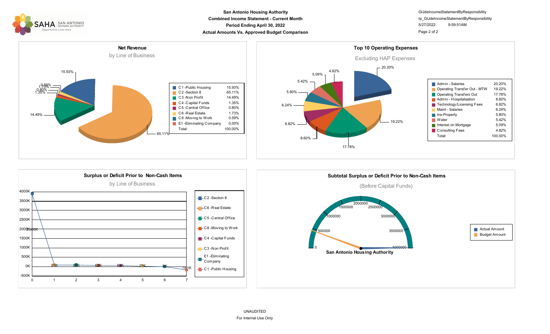

### **Combined Income Statement - Current Month Period Ending April 30, 2022 Actual Amounts Vs. Approved Budget Comparison Page 2 of 2 Page 2 of 2 San Antonio Housing Authority**

GlJdeIncomeStatementByResponsibility 5/27/2022 9:59:51AM rp\_GlJdeIncomeStatementByResponsibility







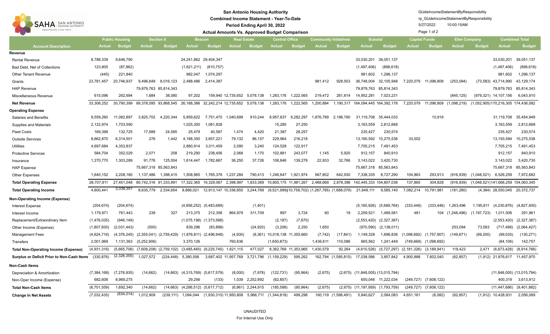<span id="page-4-0"></span>

| <b>SAN ANTONIO</b><br>SAHA<br><b>HOUSING AUTHORITY</b><br>Opportunity Lives Here | <b>San Antonio Housing Authority</b><br><b>Combined Income Statement - Year-To-Date</b><br>Period Ending April 30, 2022<br><b>Actual Amounts Vs. Approved Budget Comparison</b> |                       |                                           |                                   |                                                                  |                                       |                    |                     |                                                       |                      |                              |                     |                                         | GIJdeIncomeStatementByResponsibility<br>rp GIJdeIncomeStatementByResponsibility<br>5/27/2022<br>Page 1 of 2 |                      |                                           |                     |               |                                    |                   |
|----------------------------------------------------------------------------------|---------------------------------------------------------------------------------------------------------------------------------------------------------------------------------|-----------------------|-------------------------------------------|-----------------------------------|------------------------------------------------------------------|---------------------------------------|--------------------|---------------------|-------------------------------------------------------|----------------------|------------------------------|---------------------|-----------------------------------------|-------------------------------------------------------------------------------------------------------------|----------------------|-------------------------------------------|---------------------|---------------|------------------------------------|-------------------|
|                                                                                  |                                                                                                                                                                                 | <b>Public Housing</b> |                                           | <b>Section 8</b><br><b>Beacon</b> |                                                                  |                                       | <b>Real Estate</b> |                     | <b>Central Office</b>                                 |                      | <b>Community Initiatives</b> |                     | <b>Subotal</b>                          |                                                                                                             | <b>Capital Funds</b> |                                           | <b>Elim Company</b> |               | <b>Combined Total</b>              |                   |
| <b>Account Description</b>                                                       | <b>Actual</b>                                                                                                                                                                   | <b>Budget</b>         | <b>Actual</b>                             | <b>Budget</b>                     | <b>Actual</b>                                                    | <b>Budget</b>                         | Actual             | <b>Budget</b>       | <b>Actual</b>                                         | <b>Budget</b>        | <b>Actual</b>                | <b>Budget</b>       | <b>Actual</b>                           | <b>Budget</b>                                                                                               | <b>Actual</b>        | <b>Budget</b>                             | <b>Actual</b>       | <b>Budget</b> | <b>Actual</b>                      | <b>Budget</b>     |
| Revenue                                                                          |                                                                                                                                                                                 |                       |                                           |                                   |                                                                  |                                       |                    |                     |                                                       |                      |                              |                     |                                         |                                                                                                             |                      |                                           |                     |               |                                    |                   |
| <b>Rental Revenue</b>                                                            | 8,788,339                                                                                                                                                                       | 9,646,790             |                                           |                                   | 24, 241, 862 29, 404, 347                                        |                                       |                    |                     |                                                       |                      |                              |                     | 33,030,201                              | 39,051,137                                                                                                  |                      |                                           |                     |               | 33,030,201                         | 39,051,137        |
| Bad Debt, Net of Collections                                                     | 123,805                                                                                                                                                                         | (87, 862)             |                                           |                                   | (1,621,211)                                                      | (810,757)                             |                    |                     |                                                       |                      |                              |                     | (1,497,406)                             | (898, 618)                                                                                                  |                      |                                           |                     |               | (1,497,406)                        | (898, 618)        |
| <b>Other Tenant Revenue</b>                                                      | (445)                                                                                                                                                                           | 221,840               |                                           |                                   | 982,047                                                          | 1,074,297                             |                    |                     |                                                       |                      |                              |                     | 981,602                                 | 1,296,137                                                                                                   |                      |                                           |                     |               | 981,602                            | 1,296,137         |
| Grants                                                                           | 23,781,457                                                                                                                                                                      | 20,746,937            | 9,496,649                                 | 8,016,123                         | 2,488,486                                                        | 2,414,387                             |                    |                     |                                                       |                      | 981.412                      | 928,503             | 36,748,004                              | 32,105,948                                                                                                  | 7,220,079            | 11,096,809                                | (253,094)           |               | (73,583) 43,714,990                | 43,129,174        |
| <b>HAP Revenue</b>                                                               |                                                                                                                                                                                 |                       | 79,879,763 85,814,343                     |                                   |                                                                  |                                       |                    |                     |                                                       |                      |                              |                     | 79,879,763                              | 85,814,343                                                                                                  |                      |                                           |                     |               | 79,879,763                         | 85,814,343        |
| Miscellaneous Revenue                                                            | 615,096                                                                                                                                                                         | 262,694               | 1,684                                     | 38,080                            | 97,202                                                           |                                       | 159,940 12,735,652 | 5,078,138           | 1,283,176                                             | 1,222,565            | 219,472                      | 261,814             | 14,952,281                              | 7,023,231                                                                                                   |                      |                                           | (845, 125)          |               | (979,321) 14,107,156               | 6,043,910         |
| <b>Net Revenue</b>                                                               | 33,308,252                                                                                                                                                                      | 30,790,399            |                                           |                                   | 89,378,095 93,868,545 26,188,386 32,242,214 12,735,652 5,078,138 |                                       |                    |                     | 1,283,176                                             | 1,222,565            | 1,200,884                    |                     | 1,190,317 164,094,445 164,392,178       |                                                                                                             | 7,220,079            | 11,096,809 (1,098,219)                    |                     |               | (1,052,905)170,216,305 174,436,082 |                   |
| <b>Operating Expense</b>                                                         |                                                                                                                                                                                 |                       |                                           |                                   |                                                                  |                                       |                    |                     |                                                       |                      |                              |                     |                                         |                                                                                                             |                      |                                           |                     |               |                                    |                   |
| <b>Salaries and Benefits</b>                                                     | 9,559,260                                                                                                                                                                       | 11,082,897            | 3,825,702                                 | 4,220,344                         | 5,859,622                                                        | 7,751,470 1,040,699                   |                    | 910,244             | 8,957,637                                             | 9,282,297            |                              | 1,876,789 2,196,780 |                                         | 31,119,708 35,444,033                                                                                       |                      | 10,916                                    |                     |               | 31,119,708                         | 35,454,949        |
| <b>Supplies and Materials</b>                                                    | 2,122,974                                                                                                                                                                       | 1,703,590             |                                           |                                   | 1,025,300                                                        | 1,081,828                             |                    |                     | 15,285                                                | 27,250               |                              |                     | 3,163,559                               | 2,812,668                                                                                                   |                      |                                           |                     |               | 3,163,559                          | 2,812,668         |
| <b>Fleet Costs</b>                                                               | 169,398                                                                                                                                                                         | 132,725               | 17,688                                    | 24,585                            | 25,479                                                           | 40,587                                | 1,474              | 4,420               | 21,387                                                | 28,257               |                              |                     | 235,427                                 | 230,574                                                                                                     |                      |                                           |                     |               | 235,427                            | 230,574           |
| <b>Outside Services</b>                                                          | 8,662,870                                                                                                                                                                       | 6,314,501             | 276                                       | 1,442                             | 4,188,350                                                        | 3,657,221                             | 79,132             | 86,157              | 229,964                                               | 216,218              |                              |                     | 13,160,592                              | 10,275,538                                                                                                  | 33,002               |                                           |                     |               | 13,193,594                         | 10,275,538        |
| Utilities                                                                        | 4,697,684                                                                                                                                                                       | 4,353,837             |                                           |                                   | 2,880,914                                                        | 3,011,459                             | 2,090              | 3,240               | 124,528                                               | 122,917              |                              |                     | 7,705,215                               | 7,491,453                                                                                                   |                      |                                           |                     |               | 7,705,215                          | 7,491,453         |
| <b>Protective Services</b>                                                       | 584,704                                                                                                                                                                         | 352,029               | 2,071                                     | 258                               | 219,290                                                          | 238,456                               | 2,068              | 1,170               | 102,881                                               | 243,077              | 1,145                        | 5,920               | 912,157                                 | 840,910                                                                                                     |                      |                                           |                     |               | 912,157                            | 840,910           |
| Insurance                                                                        | 1,270,770                                                                                                                                                                       | 1,303,289             | 91,776                                    | 125,004                           | 1,614,447                                                        | 1,782,667                             | 36,250             | 37,726              | 106,846                                               | 139,278              | 22,933                       | 32,766              | 3,143,022                               | 3,420,730                                                                                                   |                      |                                           |                     |               | 3,143,022                          | 3,420,730         |
| <b>HAP Expense</b>                                                               |                                                                                                                                                                                 |                       | 75,667,318 85,563,843                     |                                   |                                                                  |                                       |                    |                     |                                                       |                      |                              |                     |                                         | 75,667,318 85,563,843                                                                                       |                      |                                           |                     |               | 75,667,318                         | 85,563,843        |
| <b>Other Expenses</b>                                                            | 1,640,152                                                                                                                                                                       | 2,208,180             | 1,137,486                                 | 1,398,415                         | 1,508,965                                                        | 1,765,378                             | 1,237,284          | 790,413             | 1,246,647                                             | 1,921,974            | 567,802                      | 642,930             | 7,338,335                               | 8,727,290                                                                                                   | 104,863              | 293,913                                   | (916, 939)          | (1,048,521)   | 6,526,259                          | 7,972,682         |
| <b>Total Operating Expense</b>                                                   | 28,707,811                                                                                                                                                                      | 27,451,048            | 80,742,316 91,333,891                     |                                   | 17,322,365 19,329,067                                            |                                       | 2,398,997          | 1,833,369           | 10,805,175 11,981,267                                 |                      | 2,468,669                    |                     | 2,878,396 142,445,333 154,807,038       |                                                                                                             | 137,865              | 304,828                                   | (916, 939)          |               | (1,048,521)141,666,259 154,063,345 |                   |
| <b>Total Operating Income</b>                                                    | 4,600,441                                                                                                                                                                       | 3,339,351             | 8,635,779                                 | 2,534,654                         | 8,866,021                                                        | 12,913,147 10,336,655                 |                    | 3,244,769           | $(9,521,999)(10,758,702)$ $(1,267,785)$ $(1,688,079)$ |                      |                              |                     | 21,649,111                              | 9,585,140                                                                                                   | 7,082,214            | 10,791,981                                | (181, 280)          |               | (4,384) 28,550,045 20,372,737      |                   |
| <b>Non-Operating Income (Expense)</b>                                            |                                                                                                                                                                                 |                       |                                           |                                   |                                                                  |                                       |                    |                     |                                                       |                      |                              |                     |                                         |                                                                                                             |                      |                                           |                     |               |                                    |                   |
| <b>Interest Expense</b>                                                          | (204, 674)                                                                                                                                                                      | (204, 674)            |                                           |                                   |                                                                  | $(4,956,252)$ $(5,483,689)$           |                    | (1,401)             |                                                       |                      |                              |                     | (5, 160, 926)                           | (5,689,764)                                                                                                 | (333, 446)           | (333, 446)                                | 1,263,496           | 1,195,811     | (4,230,876)                        | (4,827,400)       |
| Interest Income                                                                  | 1,179,971                                                                                                                                                                       | 761,443               | 239                                       | 327                               | 213,375                                                          | 212,358                               | 864,979            | 511,709             | 897                                                   | 3,724                | 60                           | 19                  | 2,259,521                               | 1,489,581                                                                                                   | 481                  |                                           | 104 (1,248,496)     | (1, 197, 723) | 1,011,506                          | 291,961           |
| Replacement/Extraordinary Item                                                   | (1,476,035)                                                                                                                                                                     | (946, 149)            |                                           |                                   |                                                                  | $(1,075,198)$ $(1,373,568)$           |                    |                     | (2, 187)                                              | (7,670)              |                              |                     | (2,553,420)                             | (2,327,387)                                                                                                 |                      |                                           |                     |               | (2,553,420)                        | (2,327,387)       |
| Other Income (Expense)                                                           | (1,807,830)                                                                                                                                                                     | (2,031,443)           | (500)                                     |                                   | 839,296                                                          | (83, 898)                             |                    | (24, 920)           | (3,206)                                               | 2,250                | 1,650                        |                     | (970, 590)                              | (2, 138, 011)                                                                                               |                      |                                           | 253,094             | 73,583        | (717, 496)                         | (2,064,427)       |
| <b>Management Fees</b>                                                           | (4,624,716)                                                                                                                                                                     |                       | $(4,376,245)$ $(2,355,041)$ $(2,759,429)$ |                                   |                                                                  | $(1,876,811)$ $(2,496,948)$           | (4,500)            |                     | (8,361) 10,018,138 11,355,660                         |                      | (7, 742)                     | (17, 841)           | 1,149,328                               | 1,696,836                                                                                                   |                      | $(1,098,692)$ $(1,757,907)$               | (149, 671)          | (69,200)      | (99,035)                           | (130, 271)        |
| Transfers                                                                        | 2,001,969                                                                                                                                                                       | 1,131,363             | (5,252,906)                               |                                   | 3,370,126                                                        |                                       | 760,636            |                     | (1,650,873)                                           |                      | 1,436,611                    | 110,086             | 665,562                                 | 1,241,449                                                                                                   |                      | $(749,668)$ $(1,098,692)$                 |                     |               | (84, 106)                          | 142,757           |
| <b>Total Non-Operating Income (Expense)</b>                                      | (4,931,316)                                                                                                                                                                     |                       | $(5,665,706)$ $(7,608,208)$ $(2,759,102)$ |                                   |                                                                  | $(3,485,465)$ $(9,225,745)$ 1,621,115 |                    | 477,027             |                                                       | 8,362,769 11,353,965 | 1,430,579                    | 92,264              | (4,610,526)                             |                                                                                                             |                      | $(5,727,297)$ $(2,181,326)$ $(3,189,941)$ | 118,423             | 2,471         | (6,673,428)                        | (8,914,766)       |
| <b>Surplus or Deficit Prior to Non-Cash Items</b> (330,876)                      |                                                                                                                                                                                 | (2,326,355)           | 1,027,572                                 |                                   | $(224, 448)$ 5,380,556                                           |                                       |                    |                     | 3,687,402 11,957,769 3,721,796 (1,159,229)            | 595,262              |                              |                     | 162,794 (1,595,815) 17,038,586          |                                                                                                             | 3,857,842 4,900,888  | 7,602,040                                 | (62, 857)           |               | (1,912) 21,876,617 11,457,970      |                   |
| Non-Cash Items                                                                   |                                                                                                                                                                                 |                       |                                           |                                   |                                                                  |                                       |                    |                     |                                                       |                      |                              |                     |                                         |                                                                                                             |                      |                                           |                     |               |                                    |                   |
| Depreciation & Amortization                                                      | (7,384,168)                                                                                                                                                                     | (7,276,935)           | (14, 662)                                 |                                   | $(14,663)$ $(4,315,769)$ $(5,617,579)$                           |                                       | (8,000)            | (7,978)             | (122, 731)                                            | (95, 964)            | (2,675)                      |                     | $(2,675)$ $(11,848,005)$ $(13,015,794)$ |                                                                                                             |                      |                                           |                     |               | $(11,848,005)$ $(13,015,794)$      |                   |
| Non-Oper Income (Expense)                                                        | 682,608                                                                                                                                                                         | 8,969,275             |                                           |                                   | 29,256                                                           | (133)                                 |                    | 1,039 2,252,892     | (62, 857)                                             |                      |                              |                     |                                         | 650,046 11,222,034                                                                                          |                      | $(249, 727)$ $(7, 608, 122)$              |                     |               |                                    | 400,319 3,613,912 |
| <b>Total Non-Cash Items</b>                                                      | (6,701,559)                                                                                                                                                                     | 1,692,340             | (14, 662)                                 |                                   | $(14,663)$ $(4,286,512)$ $(5,617,712)$                           |                                       |                    | $(6,961)$ 2,244,915 | (185, 588)                                            | (95, 964)            | (2,675)                      |                     | $(2,675)$ $(11,197,959)$ $(1,793,759)$  |                                                                                                             |                      | $(249, 727)$ $(7, 608, 122)$              |                     |               | $(11,447,686)$ $(9,401,882)$       |                   |
| <b>Change In Net Assets</b>                                                      | (7,032,435)                                                                                                                                                                     | (634, 014)            | 1,012,909                                 |                                   | (239,111) 1,094,044 (1,930,310) 11,950,808 5,966,711 (1,344,818) |                                       |                    |                     |                                                       | 499,298              |                              | 160,119 (1,598,491) | 5,840,627                               | 2,064,083                                                                                                   | 4,651,161            | (6,082)                                   | (62, 857)           |               | $(1,912)$ 10,428,931               | 2,056,089         |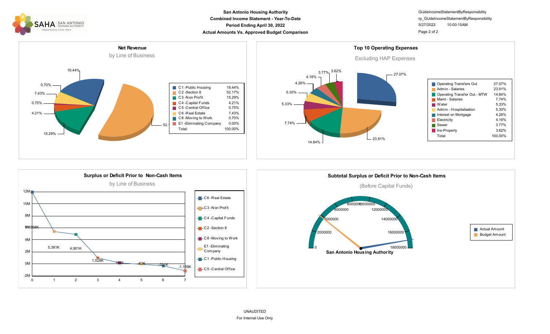

### **Combined Income Statement - Year-To-Date Period Ending April 30, 2022 Actual Amounts Vs. Approved Budget Comparison Page 2 of 2 Page 2 of 2 San Antonio Housing Authority**

GlJdeIncomeStatementByResponsibility 5/27/2022 10:00:15AM rp\_GlJdeIncomeStatementByResponsibility